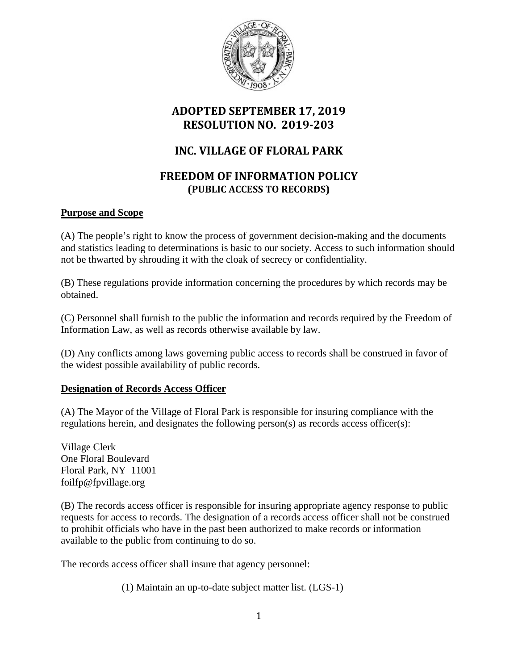

## **ADOPTED SEPTEMBER 17, 2019 RESOLUTION NO. 2019-203**

# **INC. VILLAGE OF FLORAL PARK**

## **FREEDOM OF INFORMATION POLICY (PUBLIC ACCESS TO RECORDS)**

### **Purpose and Scope**

(A) The people's right to know the process of government decision-making and the documents and statistics leading to determinations is basic to our society. Access to such information should not be thwarted by shrouding it with the cloak of secrecy or confidentiality.

(B) These regulations provide information concerning the procedures by which records may be obtained.

(C) Personnel shall furnish to the public the information and records required by the Freedom of Information Law, as well as records otherwise available by law.

(D) Any conflicts among laws governing public access to records shall be construed in favor of the widest possible availability of public records.

### **Designation of Records Access Officer**

(A) The Mayor of the Village of Floral Park is responsible for insuring compliance with the regulations herein, and designates the following person(s) as records access officer(s):

Village Clerk One Floral Boulevard Floral Park, NY 11001 foilfp@fpvillage.org

(B) The records access officer is responsible for insuring appropriate agency response to public requests for access to records. The designation of a records access officer shall not be construed to prohibit officials who have in the past been authorized to make records or information available to the public from continuing to do so.

The records access officer shall insure that agency personnel:

(1) Maintain an up-to-date subject matter list. (LGS-1)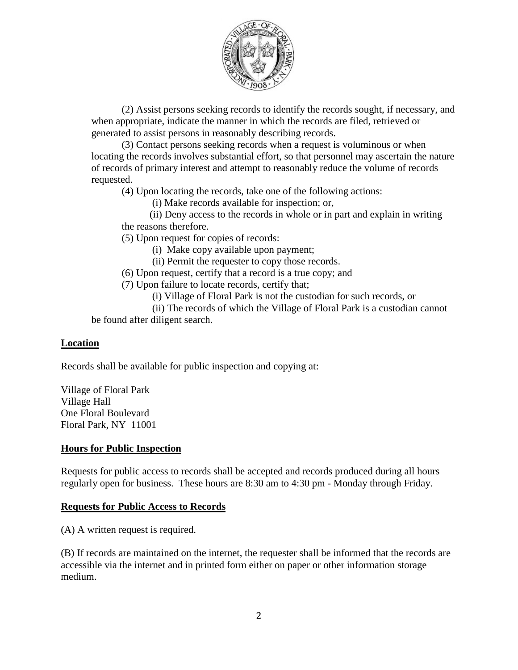

(2) Assist persons seeking records to identify the records sought, if necessary, and when appropriate, indicate the manner in which the records are filed, retrieved or generated to assist persons in reasonably describing records.

(3) Contact persons seeking records when a request is voluminous or when locating the records involves substantial effort, so that personnel may ascertain the nature of records of primary interest and attempt to reasonably reduce the volume of records requested.

(4) Upon locating the records, take one of the following actions:

(i) Make records available for inspection; or,

 (ii) Deny access to the records in whole or in part and explain in writing the reasons therefore.

(5) Upon request for copies of records:

(i) Make copy available upon payment;

(ii) Permit the requester to copy those records.

(6) Upon request, certify that a record is a true copy; and

(7) Upon failure to locate records, certify that;

(i) Village of Floral Park is not the custodian for such records, or

(ii) The records of which the Village of Floral Park is a custodian cannot be found after diligent search.

#### **Location**

Records shall be available for public inspection and copying at:

Village of Floral Park Village Hall One Floral Boulevard Floral Park, NY 11001

#### **Hours for Public Inspection**

Requests for public access to records shall be accepted and records produced during all hours regularly open for business. These hours are 8:30 am to 4:30 pm - Monday through Friday.

#### **Requests for Public Access to Records**

(A) A written request is required.

(B) If records are maintained on the internet, the requester shall be informed that the records are accessible via the internet and in printed form either on paper or other information storage medium.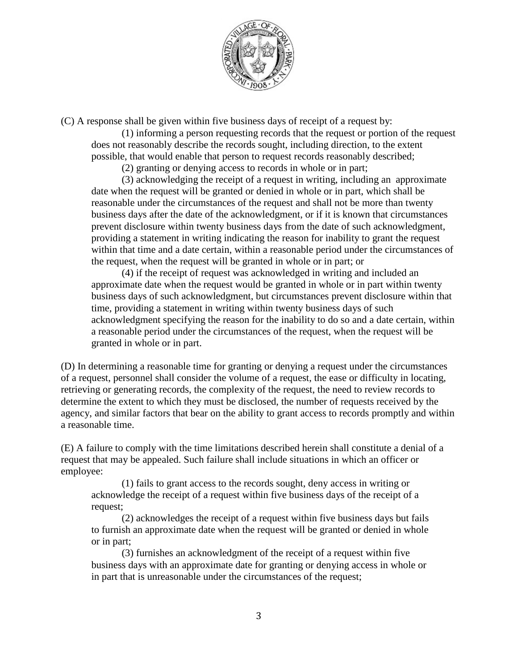

(C) A response shall be given within five business days of receipt of a request by:

(1) informing a person requesting records that the request or portion of the request does not reasonably describe the records sought, including direction, to the extent possible, that would enable that person to request records reasonably described;

(2) granting or denying access to records in whole or in part;

(3) acknowledging the receipt of a request in writing, including an approximate date when the request will be granted or denied in whole or in part, which shall be reasonable under the circumstances of the request and shall not be more than twenty business days after the date of the acknowledgment, or if it is known that circumstances prevent disclosure within twenty business days from the date of such acknowledgment, providing a statement in writing indicating the reason for inability to grant the request within that time and a date certain, within a reasonable period under the circumstances of the request, when the request will be granted in whole or in part; or

(4) if the receipt of request was acknowledged in writing and included an approximate date when the request would be granted in whole or in part within twenty business days of such acknowledgment, but circumstances prevent disclosure within that time, providing a statement in writing within twenty business days of such acknowledgment specifying the reason for the inability to do so and a date certain, within a reasonable period under the circumstances of the request, when the request will be granted in whole or in part.

(D) In determining a reasonable time for granting or denying a request under the circumstances of a request, personnel shall consider the volume of a request, the ease or difficulty in locating, retrieving or generating records, the complexity of the request, the need to review records to determine the extent to which they must be disclosed, the number of requests received by the agency, and similar factors that bear on the ability to grant access to records promptly and within a reasonable time.

(E) A failure to comply with the time limitations described herein shall constitute a denial of a request that may be appealed. Such failure shall include situations in which an officer or employee:

(1) fails to grant access to the records sought, deny access in writing or acknowledge the receipt of a request within five business days of the receipt of a request;

(2) acknowledges the receipt of a request within five business days but fails to furnish an approximate date when the request will be granted or denied in whole or in part;

(3) furnishes an acknowledgment of the receipt of a request within five business days with an approximate date for granting or denying access in whole or in part that is unreasonable under the circumstances of the request;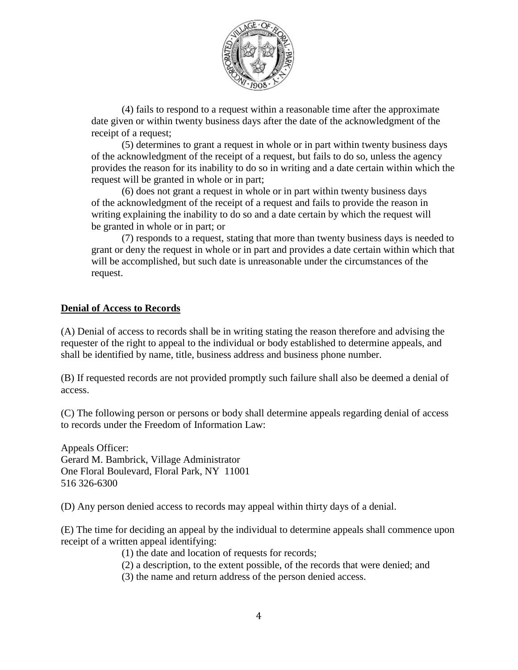

(4) fails to respond to a request within a reasonable time after the approximate date given or within twenty business days after the date of the acknowledgment of the receipt of a request;

(5) determines to grant a request in whole or in part within twenty business days of the acknowledgment of the receipt of a request, but fails to do so, unless the agency provides the reason for its inability to do so in writing and a date certain within which the request will be granted in whole or in part;

(6) does not grant a request in whole or in part within twenty business days of the acknowledgment of the receipt of a request and fails to provide the reason in writing explaining the inability to do so and a date certain by which the request will be granted in whole or in part; or

(7) responds to a request, stating that more than twenty business days is needed to grant or deny the request in whole or in part and provides a date certain within which that will be accomplished, but such date is unreasonable under the circumstances of the request.

#### **Denial of Access to Records**

(A) Denial of access to records shall be in writing stating the reason therefore and advising the requester of the right to appeal to the individual or body established to determine appeals, and shall be identified by name, title, business address and business phone number.

(B) If requested records are not provided promptly such failure shall also be deemed a denial of access.

(C) The following person or persons or body shall determine appeals regarding denial of access to records under the Freedom of Information Law:

Appeals Officer: Gerard M. Bambrick, Village Administrator One Floral Boulevard, Floral Park, NY 11001 516 326-6300

(D) Any person denied access to records may appeal within thirty days of a denial.

(E) The time for deciding an appeal by the individual to determine appeals shall commence upon receipt of a written appeal identifying:

- (1) the date and location of requests for records;
- (2) a description, to the extent possible, of the records that were denied; and
- (3) the name and return address of the person denied access.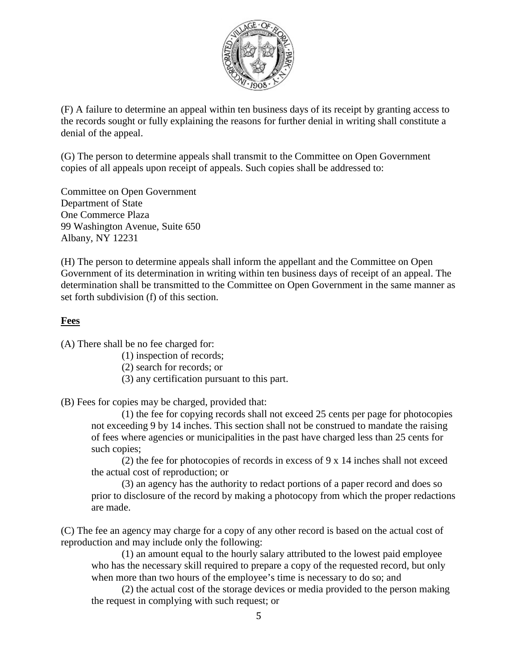

(F) A failure to determine an appeal within ten business days of its receipt by granting access to the records sought or fully explaining the reasons for further denial in writing shall constitute a denial of the appeal.

(G) The person to determine appeals shall transmit to the Committee on Open Government copies of all appeals upon receipt of appeals. Such copies shall be addressed to:

Committee on Open Government Department of State One Commerce Plaza 99 Washington Avenue, Suite 650 Albany, NY 12231

(H) The person to determine appeals shall inform the appellant and the Committee on Open Government of its determination in writing within ten business days of receipt of an appeal. The determination shall be transmitted to the Committee on Open Government in the same manner as set forth subdivision (f) of this section.

### **Fees**

(A) There shall be no fee charged for:

- (1) inspection of records;
- (2) search for records; or
- (3) any certification pursuant to this part.
- (B) Fees for copies may be charged, provided that:

(1) the fee for copying records shall not exceed 25 cents per page for photocopies not exceeding 9 by 14 inches. This section shall not be construed to mandate the raising of fees where agencies or municipalities in the past have charged less than 25 cents for such copies;

(2) the fee for photocopies of records in excess of 9 x 14 inches shall not exceed the actual cost of reproduction; or

(3) an agency has the authority to redact portions of a paper record and does so prior to disclosure of the record by making a photocopy from which the proper redactions are made.

(C) The fee an agency may charge for a copy of any other record is based on the actual cost of reproduction and may include only the following:

(1) an amount equal to the hourly salary attributed to the lowest paid employee who has the necessary skill required to prepare a copy of the requested record, but only when more than two hours of the employee's time is necessary to do so; and

(2) the actual cost of the storage devices or media provided to the person making the request in complying with such request; or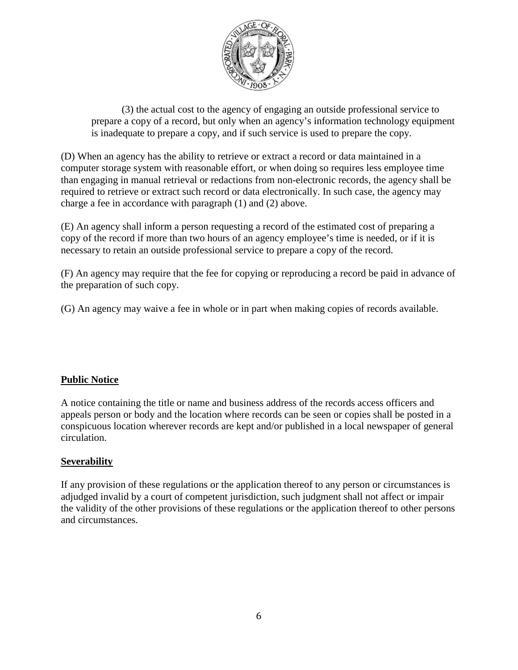

(3) the actual cost to the agency of engaging an outside professional service to prepare a copy of a record, but only when an agency's information technology equipment is inadequate to prepare a copy, and if such service is used to prepare the copy.

(D) When an agency has the ability to retrieve or extract a record or data maintained in a computer storage system with reasonable effort, or when doing so requires less employee time than engaging in manual retrieval or redactions from non-electronic records, the agency shall be required to retrieve or extract such record or data electronically. In such case, the agency may charge a fee in accordance with paragraph (1) and (2) above.

(E) An agency shall inform a person requesting a record of the estimated cost of preparing a copy of the record if more than two hours of an agency employee's time is needed, or if it is necessary to retain an outside professional service to prepare a copy of the record.

(F) An agency may require that the fee for copying or reproducing a record be paid in advance of the preparation of such copy.

(G) An agency may waive a fee in whole or in part when making copies of records available.

## **Public Notice**

A notice containing the title or name and business address of the records access officers and appeals person or body and the location where records can be seen or copies shall be posted in a conspicuous location wherever records are kept and/or published in a local newspaper of general circulation.

### **Severability**

If any provision of these regulations or the application thereof to any person or circumstances is adjudged invalid by a court of competent jurisdiction, such judgment shall not affect or impair the validity of the other provisions of these regulations or the application thereof to other persons and circumstances.